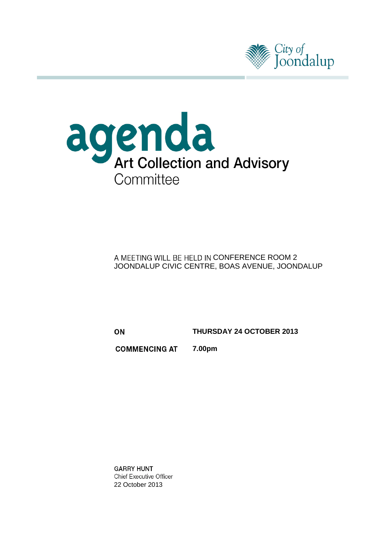



A MEETING WILL BE HELD IN CONFERENCE ROOM 2 JOONDALUP CIVIC CENTRE, BOAS AVENUE, JOONDALUP

ON

**THURSDAY 24 OCTOBER 2013**

**COMMENCING AT 7.00pm**

**GARRY HUNT Chief Executive Officer** 22 October 2013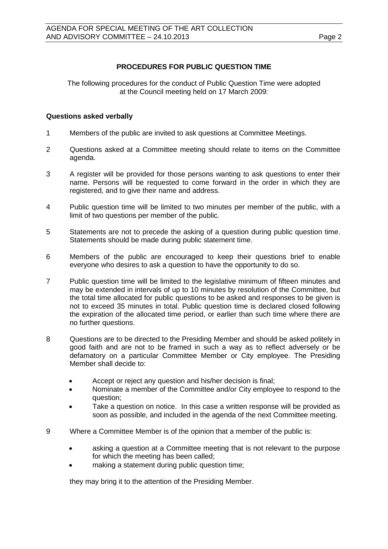### **PROCEDURES FOR PUBLIC QUESTION TIME**

The following procedures for the conduct of Public Question Time were adopted at the Council meeting held on 17 March 2009:

#### **Questions asked verbally**

- 1 Members of the public are invited to ask questions at Committee Meetings.
- 2 Questions asked at a Committee meeting should relate to items on the Committee agenda.
- 3 A register will be provided for those persons wanting to ask questions to enter their name. Persons will be requested to come forward in the order in which they are registered, and to give their name and address.
- 4 Public question time will be limited to two minutes per member of the public, with a limit of two questions per member of the public.
- 5 Statements are not to precede the asking of a question during public question time. Statements should be made during public statement time.
- 6 Members of the public are encouraged to keep their questions brief to enable everyone who desires to ask a question to have the opportunity to do so.
- 7 Public question time will be limited to the legislative minimum of fifteen minutes and may be extended in intervals of up to 10 minutes by resolution of the Committee, but the total time allocated for public questions to be asked and responses to be given is not to exceed 35 minutes in total. Public question time is declared closed following the expiration of the allocated time period, or earlier than such time where there are no further questions.
- 8 Questions are to be directed to the Presiding Member and should be asked politely in good faith and are not to be framed in such a way as to reflect adversely or be defamatory on a particular Committee Member or City employee. The Presiding Member shall decide to:
	- Accept or reject any question and his/her decision is final;
	- Nominate a member of the Committee and/or City employee to respond to the question;
	- Take a question on notice. In this case a written response will be provided as soon as possible, and included in the agenda of the next Committee meeting.
- 9 Where a Committee Member is of the opinion that a member of the public is:
	- asking a question at a Committee meeting that is not relevant to the purpose for which the meeting has been called;
	- making a statement during public question time;

they may bring it to the attention of the Presiding Member.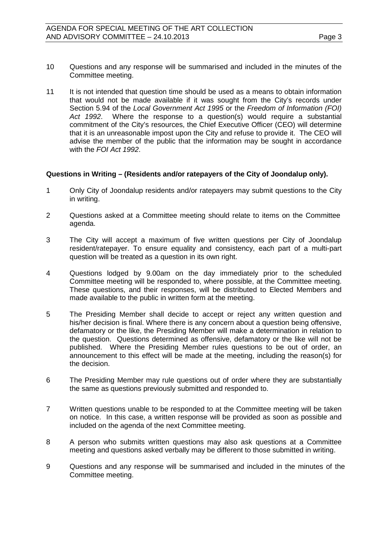- 10 Questions and any response will be summarised and included in the minutes of the Committee meeting.
- 11 It is not intended that question time should be used as a means to obtain information that would not be made available if it was sought from the City's records under Section 5.94 of the *Local Government Act 1995* or the *Freedom of Information (FOI) Act 1992*. Where the response to a question(s) would require a substantial commitment of the City's resources, the Chief Executive Officer (CEO) will determine that it is an unreasonable impost upon the City and refuse to provide it. The CEO will advise the member of the public that the information may be sought in accordance with the *FOI Act 1992*.

### **Questions in Writing – (Residents and/or ratepayers of the City of Joondalup only).**

- 1 Only City of Joondalup residents and/or ratepayers may submit questions to the City in writing.
- 2 Questions asked at a Committee meeting should relate to items on the Committee agenda.
- 3 The City will accept a maximum of five written questions per City of Joondalup resident/ratepayer. To ensure equality and consistency, each part of a multi-part question will be treated as a question in its own right.
- 4 Questions lodged by 9.00am on the day immediately prior to the scheduled Committee meeting will be responded to, where possible, at the Committee meeting. These questions, and their responses, will be distributed to Elected Members and made available to the public in written form at the meeting.
- 5 The Presiding Member shall decide to accept or reject any written question and his/her decision is final. Where there is any concern about a question being offensive, defamatory or the like, the Presiding Member will make a determination in relation to the question. Questions determined as offensive, defamatory or the like will not be published. Where the Presiding Member rules questions to be out of order, an announcement to this effect will be made at the meeting, including the reason(s) for the decision.
- 6 The Presiding Member may rule questions out of order where they are substantially the same as questions previously submitted and responded to.
- 7 Written questions unable to be responded to at the Committee meeting will be taken on notice. In this case, a written response will be provided as soon as possible and included on the agenda of the next Committee meeting.
- 8 A person who submits written questions may also ask questions at a Committee meeting and questions asked verbally may be different to those submitted in writing.
- 9 Questions and any response will be summarised and included in the minutes of the Committee meeting.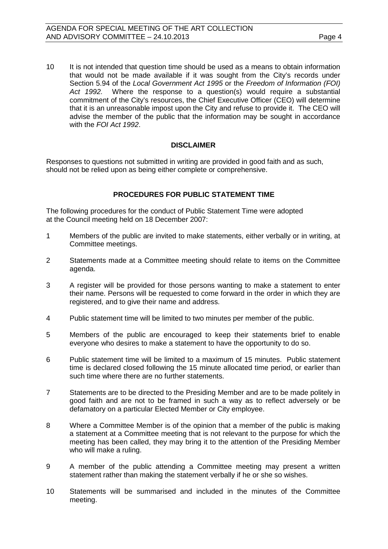10 It is not intended that question time should be used as a means to obtain information that would not be made available if it was sought from the City's records under Section 5.94 of the *Local Government Act 1995* or the *Freedom of Information (FOI) Act 1992.* Where the response to a question(s) would require a substantial commitment of the City's resources, the Chief Executive Officer (CEO) will determine that it is an unreasonable impost upon the City and refuse to provide it. The CEO will advise the member of the public that the information may be sought in accordance with the *FOI Act 1992*.

#### **DISCLAIMER**

Responses to questions not submitted in writing are provided in good faith and as such, should not be relied upon as being either complete or comprehensive.

#### **PROCEDURES FOR PUBLIC STATEMENT TIME**

The following procedures for the conduct of Public Statement Time were adopted at the Council meeting held on 18 December 2007:

- 1 Members of the public are invited to make statements, either verbally or in writing, at Committee meetings.
- 2 Statements made at a Committee meeting should relate to items on the Committee agenda.
- 3 A register will be provided for those persons wanting to make a statement to enter their name. Persons will be requested to come forward in the order in which they are registered, and to give their name and address.
- 4 Public statement time will be limited to two minutes per member of the public.
- 5 Members of the public are encouraged to keep their statements brief to enable everyone who desires to make a statement to have the opportunity to do so.
- 6 Public statement time will be limited to a maximum of 15 minutes. Public statement time is declared closed following the 15 minute allocated time period, or earlier than such time where there are no further statements.
- 7 Statements are to be directed to the Presiding Member and are to be made politely in good faith and are not to be framed in such a way as to reflect adversely or be defamatory on a particular Elected Member or City employee.
- 8 Where a Committee Member is of the opinion that a member of the public is making a statement at a Committee meeting that is not relevant to the purpose for which the meeting has been called, they may bring it to the attention of the Presiding Member who will make a ruling.
- 9 A member of the public attending a Committee meeting may present a written statement rather than making the statement verbally if he or she so wishes.
- 10 Statements will be summarised and included in the minutes of the Committee meeting.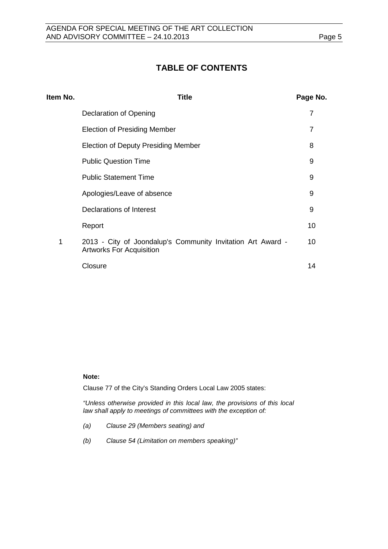# **TABLE OF CONTENTS**

| Item No. | Title                                                                                          | Page No. |
|----------|------------------------------------------------------------------------------------------------|----------|
|          | Declaration of Opening                                                                         | 7        |
|          | <b>Election of Presiding Member</b>                                                            | 7        |
|          | <b>Election of Deputy Presiding Member</b>                                                     | 8        |
|          | <b>Public Question Time</b>                                                                    | 9        |
|          | <b>Public Statement Time</b>                                                                   | 9        |
|          | Apologies/Leave of absence                                                                     | 9        |
|          | Declarations of Interest                                                                       | 9        |
|          | Report                                                                                         | 10       |
| 1        | 2013 - City of Joondalup's Community Invitation Art Award -<br><b>Artworks For Acquisition</b> | 10       |
|          | Closure                                                                                        | 14       |
|          |                                                                                                |          |

#### **Note:**

Clause 77 of the City's Standing Orders Local Law 2005 states:

*"Unless otherwise provided in this local law, the provisions of this local law shall apply to meetings of committees with the exception of:*

- *(a) Clause 29 (Members seating) and*
- *(b) Clause 54 (Limitation on members speaking)"*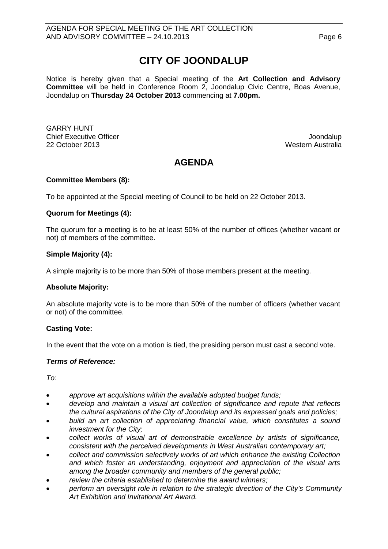# **CITY OF JOONDALUP**

Notice is hereby given that a Special meeting of the **Art Collection and Advisory Committee** will be held in Conference Room 2, Joondalup Civic Centre, Boas Avenue, Joondalup on **Thursday 24 October 2013** commencing at **7.00pm.**

GARRY HUNT Chief Executive Officer  $\Box$  Joondalup Joondalup 22 October 2013 Western Australia

# **AGENDA**

### **Committee Members (8):**

To be appointed at the Special meeting of Council to be held on 22 October 2013.

#### **Quorum for Meetings (4):**

The quorum for a meeting is to be at least 50% of the number of offices (whether vacant or not) of members of the committee.

#### **Simple Majority (4):**

A simple majority is to be more than 50% of those members present at the meeting.

#### **Absolute Majority:**

An absolute majority vote is to be more than 50% of the number of officers (whether vacant or not) of the committee.

#### **Casting Vote:**

In the event that the vote on a motion is tied, the presiding person must cast a second vote.

#### *Terms of Reference:*

*To:*

- *approve art acquisitions within the available adopted budget funds;*
- *develop and maintain a visual art collection of significance and repute that reflects the cultural aspirations of the City of Joondalup and its expressed goals and policies;*
- *build an art collection of appreciating financial value, which constitutes a sound investment for the City;*
- *collect works of visual art of demonstrable excellence by artists of significance, consistent with the perceived developments in West Australian contemporary art;*
- *collect and commission selectively works of art which enhance the existing Collection and which foster an understanding, enjoyment and appreciation of the visual arts among the broader community and members of the general public;*
- *review the criteria established to determine the award winners;*
- *perform an oversight role in relation to the strategic direction of the City's Community Art Exhibition and Invitational Art Award.*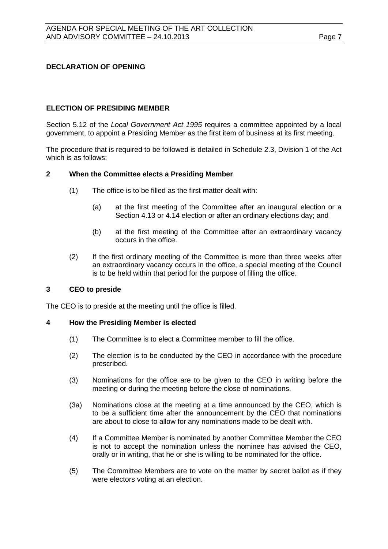### <span id="page-6-0"></span>**DECLARATION OF OPENING**

### <span id="page-6-1"></span>**ELECTION OF PRESIDING MEMBER**

Section 5.12 of the *Local Government Act 1995* requires a committee appointed by a local government, to appoint a Presiding Member as the first item of business at its first meeting.

The procedure that is required to be followed is detailed in Schedule 2.3, Division 1 of the Act which is as follows:

#### **2 When the Committee elects a Presiding Member**

- (1) The office is to be filled as the first matter dealt with:
	- (a) at the first meeting of the Committee after an inaugural election or a Section 4.13 or 4.14 election or after an ordinary elections day; and
	- (b) at the first meeting of the Committee after an extraordinary vacancy occurs in the office.
- (2) If the first ordinary meeting of the Committee is more than three weeks after an extraordinary vacancy occurs in the office, a special meeting of the Council is to be held within that period for the purpose of filling the office.

#### **3 CEO to preside**

The CEO is to preside at the meeting until the office is filled.

#### **4 How the Presiding Member is elected**

- (1) The Committee is to elect a Committee member to fill the office.
- (2) The election is to be conducted by the CEO in accordance with the procedure prescribed.
- (3) Nominations for the office are to be given to the CEO in writing before the meeting or during the meeting before the close of nominations.
- (3a) Nominations close at the meeting at a time announced by the CEO, which is to be a sufficient time after the announcement by the CEO that nominations are about to close to allow for any nominations made to be dealt with.
- (4) If a Committee Member is nominated by another Committee Member the CEO is not to accept the nomination unless the nominee has advised the CEO, orally or in writing, that he or she is willing to be nominated for the office.
- (5) The Committee Members are to vote on the matter by secret ballot as if they were electors voting at an election.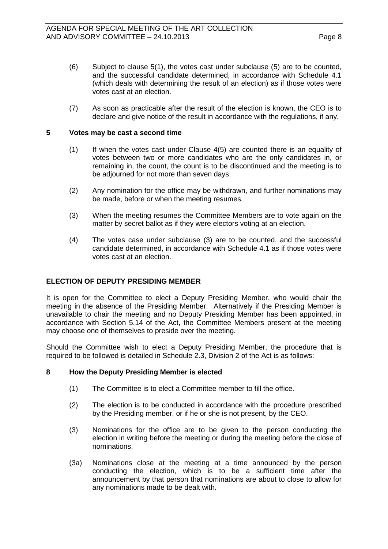(7) As soon as practicable after the result of the election is known, the CEO is to declare and give notice of the result in accordance with the regulations, if any.

#### **5 Votes may be cast a second time**

- (1) If when the votes cast under Clause 4(5) are counted there is an equality of votes between two or more candidates who are the only candidates in, or remaining in, the count, the count is to be discontinued and the meeting is to be adjourned for not more than seven days.
- (2) Any nomination for the office may be withdrawn, and further nominations may be made, before or when the meeting resumes.
- (3) When the meeting resumes the Committee Members are to vote again on the matter by secret ballot as if they were electors voting at an election.
- (4) The votes case under subclause (3) are to be counted, and the successful candidate determined, in accordance with Schedule 4.1 as if those votes were votes cast at an election.

### <span id="page-7-0"></span>**ELECTION OF DEPUTY PRESIDING MEMBER**

It is open for the Committee to elect a Deputy Presiding Member, who would chair the meeting in the absence of the Presiding Member. Alternatively if the Presiding Member is unavailable to chair the meeting and no Deputy Presiding Member has been appointed, in accordance with Section 5.14 of the Act, the Committee Members present at the meeting may choose one of themselves to preside over the meeting.

Should the Committee wish to elect a Deputy Presiding Member, the procedure that is required to be followed is detailed in Schedule 2.3, Division 2 of the Act is as follows:

#### **8 How the Deputy Presiding Member is elected**

- (1) The Committee is to elect a Committee member to fill the office.
- (2) The election is to be conducted in accordance with the procedure prescribed by the Presiding member, or if he or she is not present, by the CEO.
- (3) Nominations for the office are to be given to the person conducting the election in writing before the meeting or during the meeting before the close of nominations.
- (3a) Nominations close at the meeting at a time announced by the person conducting the election, which is to be a sufficient time after the announcement by that person that nominations are about to close to allow for any nominations made to be dealt with.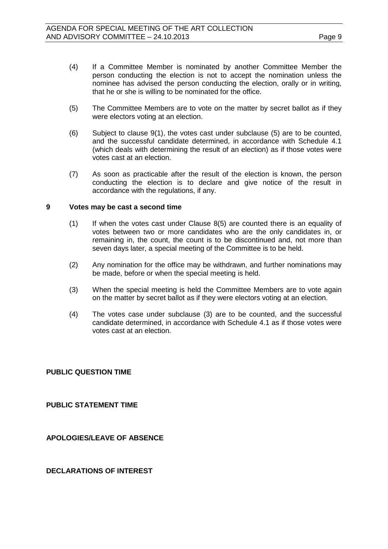- (4) If a Committee Member is nominated by another Committee Member the person conducting the election is not to accept the nomination unless the nominee has advised the person conducting the election, orally or in writing, that he or she is willing to be nominated for the office.
- (5) The Committee Members are to vote on the matter by secret ballot as if they were electors voting at an election.
- (6) Subject to clause 9(1), the votes cast under subclause (5) are to be counted, and the successful candidate determined, in accordance with Schedule 4.1 (which deals with determining the result of an election) as if those votes were votes cast at an election.
- (7) As soon as practicable after the result of the election is known, the person conducting the election is to declare and give notice of the result in accordance with the regulations, if any.

#### **9 Votes may be cast a second time**

- (1) If when the votes cast under Clause 8(5) are counted there is an equality of votes between two or more candidates who are the only candidates in, or remaining in, the count, the count is to be discontinued and, not more than seven days later, a special meeting of the Committee is to be held.
- (2) Any nomination for the office may be withdrawn, and further nominations may be made, before or when the special meeting is held.
- (3) When the special meeting is held the Committee Members are to vote again on the matter by secret ballot as if they were electors voting at an election.
- (4) The votes case under subclause (3) are to be counted, and the successful candidate determined, in accordance with Schedule 4.1 as if those votes were votes cast at an election.

#### <span id="page-8-0"></span>**PUBLIC QUESTION TIME**

#### <span id="page-8-1"></span>**PUBLIC STATEMENT TIME**

<span id="page-8-2"></span>**APOLOGIES/LEAVE OF ABSENCE**

#### <span id="page-8-3"></span>**DECLARATIONS OF INTEREST**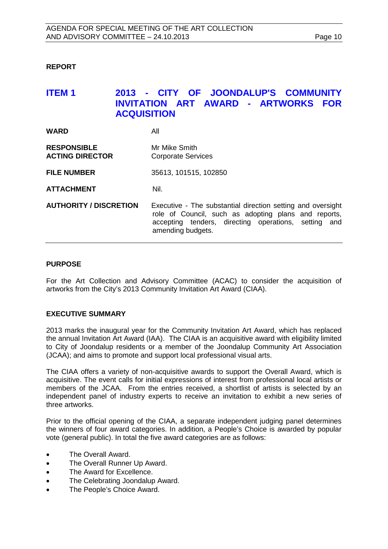#### <span id="page-9-0"></span>**REPORT**

## <span id="page-9-1"></span>**ITEM 1 2013 - CITY OF JOONDALUP'S COMMUNITY INVITATION ART AWARD - ARTWORKS FOR ACQUISITION**

| <b>WARD</b>                                  | All                                                                                                                                                                                              |
|----------------------------------------------|--------------------------------------------------------------------------------------------------------------------------------------------------------------------------------------------------|
| <b>RESPONSIBLE</b><br><b>ACTING DIRECTOR</b> | Mr Mike Smith<br><b>Corporate Services</b>                                                                                                                                                       |
| <b>FILE NUMBER</b>                           | 35613, 101515, 102850                                                                                                                                                                            |
| <b>ATTACHMENT</b>                            | Nil.                                                                                                                                                                                             |
| <b>AUTHORITY / DISCRETION</b>                | Executive - The substantial direction setting and oversight<br>role of Council, such as adopting plans and reports,<br>accepting tenders, directing operations, setting and<br>amending budgets. |

#### **PURPOSE**

For the Art Collection and Advisory Committee (ACAC) to consider the acquisition of artworks from the City's 2013 Community Invitation Art Award (CIAA).

#### **EXECUTIVE SUMMARY**

2013 marks the inaugural year for the Community Invitation Art Award, which has replaced the annual Invitation Art Award (IAA). The CIAA is an acquisitive award with eligibility limited to City of Joondalup residents or a member of the Joondalup Community Art Association (JCAA); and aims to promote and support local professional visual arts.

The CIAA offers a variety of non-acquisitive awards to support the Overall Award, which is acquisitive. The event calls for initial expressions of interest from professional local artists or members of the JCAA. From the entries received, a shortlist of artists is selected by an independent panel of industry experts to receive an invitation to exhibit a new series of three artworks.

Prior to the official opening of the CIAA, a separate independent judging panel determines the winners of four award categories. In addition, a People's Choice is awarded by popular vote (general public). In total the five award categories are as follows:

- The Overall Award.
- The Overall Runner Up Award.
- The Award for Excellence.
- The Celebrating Joondalup Award.
- The People's Choice Award.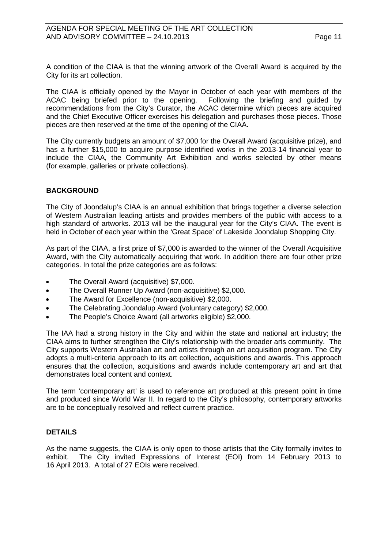A condition of the CIAA is that the winning artwork of the Overall Award is acquired by the City for its art collection.

The CIAA is officially opened by the Mayor in October of each year with members of the ACAC being briefed prior to the opening. Following the briefing and guided by ACAC being briefed prior to the opening. recommendations from the City's Curator, the ACAC determine which pieces are acquired and the Chief Executive Officer exercises his delegation and purchases those pieces. Those pieces are then reserved at the time of the opening of the CIAA.

The City currently budgets an amount of \$7,000 for the Overall Award (acquisitive prize), and has a further \$15,000 to acquire purpose identified works in the 2013-14 financial year to include the CIAA, the Community Art Exhibition and works selected by other means (for example, galleries or private collections).

### **BACKGROUND**

The City of Joondalup's CIAA is an annual exhibition that brings together a diverse selection of Western Australian leading artists and provides members of the public with access to a high standard of artworks. 2013 will be the inaugural year for the City's CIAA. The event is held in October of each year within the 'Great Space' of Lakeside Joondalup Shopping City.

As part of the CIAA, a first prize of \$7,000 is awarded to the winner of the Overall Acquisitive Award, with the City automatically acquiring that work. In addition there are four other prize categories. In total the prize categories are as follows:

- The Overall Award (acquisitive) \$7,000.
- The Overall Runner Up Award (non-acquisitive) \$2,000.
- The Award for Excellence (non-acquisitive) \$2,000.
- The Celebrating Joondalup Award (voluntary category) \$2,000.
- The People's Choice Award (all artworks eligible) \$2,000.

The IAA had a strong history in the City and within the state and national art industry; the CIAA aims to further strengthen the City's relationship with the broader arts community. The City supports Western Australian art and artists through an art acquisition program. The City adopts a multi-criteria approach to its art collection, acquisitions and awards. This approach ensures that the collection, acquisitions and awards include contemporary art and art that demonstrates local content and context.

The term 'contemporary art' is used to reference art produced at this present point in time and produced since World War II. In regard to the City's philosophy, contemporary artworks are to be conceptually resolved and reflect current practice.

### **DETAILS**

As the name suggests, the CIAA is only open to those artists that the City formally invites to exhibit. The City invited Expressions of Interest (EOI) from 14 February 2013 to 16 April 2013. A total of 27 EOIs were received.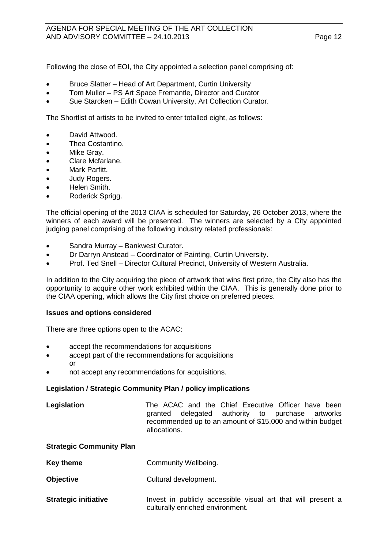Following the close of EOI, the City appointed a selection panel comprising of:

- Bruce Slatter Head of Art Department, Curtin University
- Tom Muller PS Art Space Fremantle, Director and Curator
- Sue Starcken Edith Cowan University, Art Collection Curator.

The Shortlist of artists to be invited to enter totalled eight, as follows:

- David Attwood.
- Thea Costantino.
- Mike Gray.
- Clare Mcfarlane.
- Mark Parfitt.
- Judy Rogers.
- Helen Smith.
- Roderick Sprigg.

The official opening of the 2013 CIAA is scheduled for Saturday, 26 October 2013, where the winners of each award will be presented. The winners are selected by a City appointed judging panel comprising of the following industry related professionals:

- Sandra Murray Bankwest Curator.
- Dr Darryn Anstead Coordinator of Painting, Curtin University.
- Prof. Ted Snell Director Cultural Precinct, University of Western Australia.

In addition to the City acquiring the piece of artwork that wins first prize, the City also has the opportunity to acquire other work exhibited within the CIAA. This is generally done prior to the CIAA opening, which allows the City first choice on preferred pieces.

#### **Issues and options considered**

There are three options open to the ACAC:

- accept the recommendations for acquisitions
- accept part of the recommendations for acquisitions or
- not accept any recommendations for acquisitions.

#### **Legislation / Strategic Community Plan / policy implications**

| Legislation |              |  | The ACAC and the Chief Executive Officer have been        |  |  |
|-------------|--------------|--|-----------------------------------------------------------|--|--|
|             |              |  | granted delegated authority to purchase artworks          |  |  |
|             |              |  | recommended up to an amount of \$15,000 and within budget |  |  |
|             | allocations. |  |                                                           |  |  |

#### **Strategic Community Plan**

- **Key theme Community Wellbeing.**
- **Objective** Cultural development.
- **Strategic initiative Invest in publicly accessible visual art that will present a** culturally enriched environment.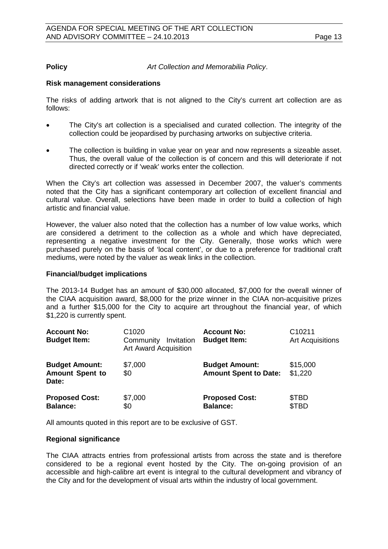**Policy** *Art Collection and Memorabilia Policy*.

#### **Risk management considerations**

The risks of adding artwork that is not aligned to the City's current art collection are as follows:

- The City's art collection is a specialised and curated collection. The integrity of the collection could be jeopardised by purchasing artworks on subjective criteria.
- The collection is building in value year on year and now represents a sizeable asset. Thus, the overall value of the collection is of concern and this will deteriorate if not directed correctly or if 'weak' works enter the collection.

When the City's art collection was assessed in December 2007, the valuer's comments noted that the City has a significant contemporary art collection of excellent financial and cultural value. Overall, selections have been made in order to build a collection of high artistic and financial value.

However, the valuer also noted that the collection has a number of low value works, which are considered a detriment to the collection as a whole and which have depreciated, representing a negative investment for the City. Generally, those works which were purchased purely on the basis of 'local content', or due to a preference for traditional craft mediums, were noted by the valuer as weak links in the collection.

#### **Financial/budget implications**

The 2013-14 Budget has an amount of \$30,000 allocated, \$7,000 for the overall winner of the CIAA acquisition award, \$8,000 for the prize winner in the CIAA non-acquisitive prizes and a further \$15,000 for the City to acquire art throughout the financial year, of which \$1,220 is currently spent.

| <b>Account No:</b><br><b>Budget Item:</b>                | C <sub>1020</sub><br>Community<br>Invitation<br><b>Art Award Acquisition</b> | <b>Account No:</b><br><b>Budget Item:</b>             | C <sub>10211</sub><br><b>Art Acquisitions</b> |
|----------------------------------------------------------|------------------------------------------------------------------------------|-------------------------------------------------------|-----------------------------------------------|
| <b>Budget Amount:</b><br><b>Amount Spent to</b><br>Date: | \$7,000<br>\$0                                                               | <b>Budget Amount:</b><br><b>Amount Spent to Date:</b> | \$15,000<br>\$1,220                           |
| <b>Proposed Cost:</b><br><b>Balance:</b>                 | \$7,000<br>\$0                                                               | <b>Proposed Cost:</b><br><b>Balance:</b>              | \$TBD<br>\$TBD                                |

All amounts quoted in this report are to be exclusive of GST.

#### **Regional significance**

The CIAA attracts entries from professional artists from across the state and is therefore considered to be a regional event hosted by the City. The on-going provision of an accessible and high-calibre art event is integral to the cultural development and vibrancy of the City and for the development of visual arts within the industry of local government.